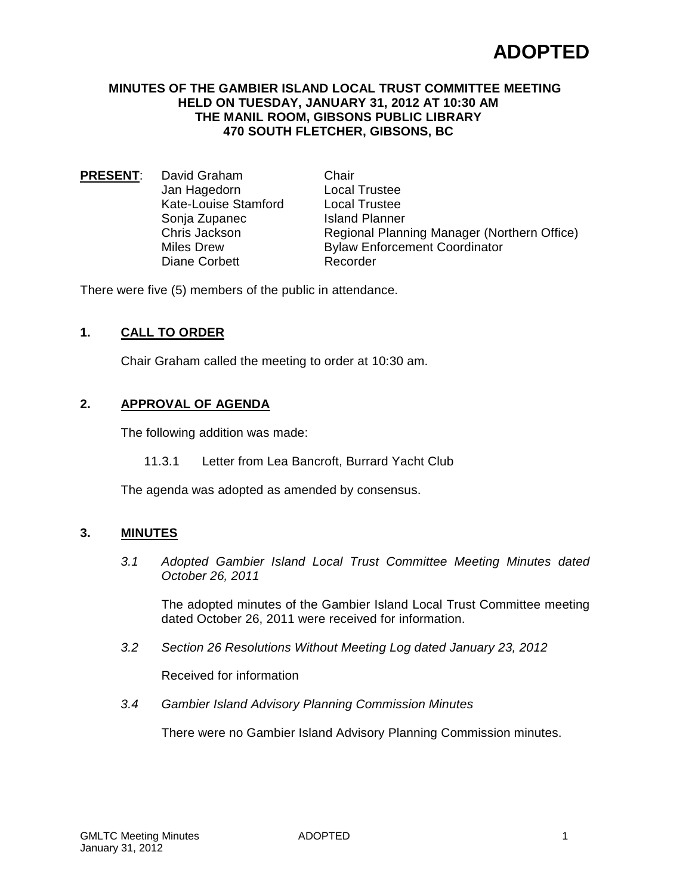### **MINUTES OF THE GAMBIER ISLAND LOCAL TRUST COMMITTEE MEETING HELD ON TUESDAY, JANUARY 31, 2012 AT 10:30 AM THE MANIL ROOM, GIBSONS PUBLIC LIBRARY 470 SOUTH FLETCHER, GIBSONS, BC**

**PRESENT**: David Graham Chair<br>Jan Hagedorn Local Trustee Jan Hagedorn Kate-Louise Stamford Local Trustee Sonja Zupanec Island Planner Diane Corbett

Chris Jackson Regional Planning Manager (Northern Office) Miles Drew **Bylaw Enforcement Coordinator**<br>Diane Corbett **Recorder** 

There were five (5) members of the public in attendance.

## **1. CALL TO ORDER**

Chair Graham called the meeting to order at 10:30 am.

## **2. APPROVAL OF AGENDA**

The following addition was made:

11.3.1 Letter from Lea Bancroft, Burrard Yacht Club

The agenda was adopted as amended by consensus.

## **3. MINUTES**

*3.1 Adopted Gambier Island Local Trust Committee Meeting Minutes dated October 26, 2011*

The adopted minutes of the Gambier Island Local Trust Committee meeting dated October 26, 2011 were received for information.

*3.2 Section 26 Resolutions Without Meeting Log dated January 23, 2012*

Received for information

*3.4 Gambier Island Advisory Planning Commission Minutes*

There were no Gambier Island Advisory Planning Commission minutes.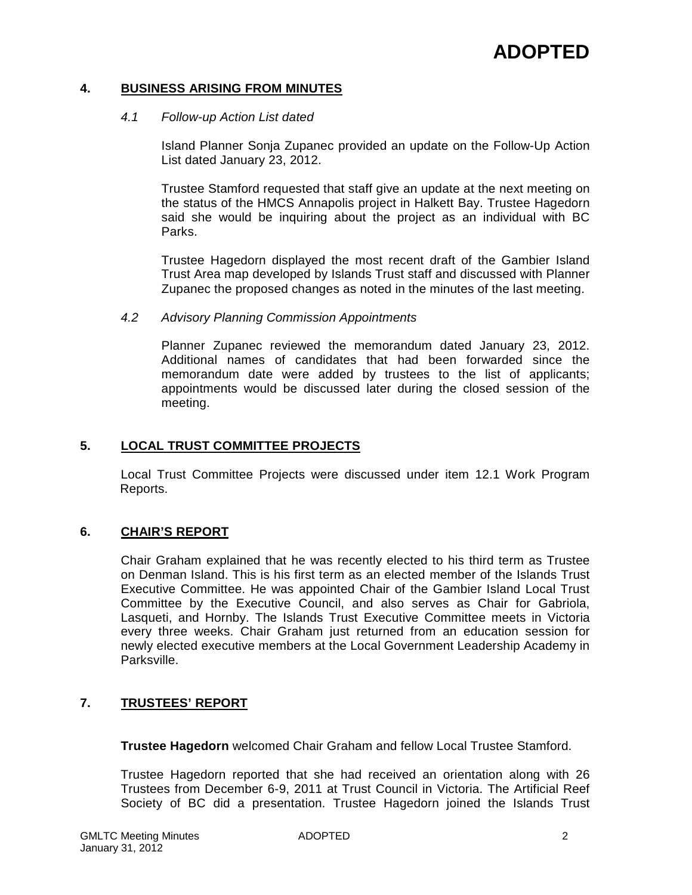## **4. BUSINESS ARISING FROM MINUTES**

### *4.1 Follow-up Action List dated*

Island Planner Sonja Zupanec provided an update on the Follow-Up Action List dated January 23, 2012.

Trustee Stamford requested that staff give an update at the next meeting on the status of the HMCS Annapolis project in Halkett Bay. Trustee Hagedorn said she would be inquiring about the project as an individual with BC Parks.

Trustee Hagedorn displayed the most recent draft of the Gambier Island Trust Area map developed by Islands Trust staff and discussed with Planner Zupanec the proposed changes as noted in the minutes of the last meeting.

#### *4.2 Advisory Planning Commission Appointments*

Planner Zupanec reviewed the memorandum dated January 23, 2012. Additional names of candidates that had been forwarded since the memorandum date were added by trustees to the list of applicants; appointments would be discussed later during the closed session of the meeting.

### **5. LOCAL TRUST COMMITTEE PROJECTS**

Local Trust Committee Projects were discussed under item 12.1 Work Program Reports.

### **6. CHAIR'S REPORT**

Chair Graham explained that he was recently elected to his third term as Trustee on Denman Island. This is his first term as an elected member of the Islands Trust Executive Committee. He was appointed Chair of the Gambier Island Local Trust Committee by the Executive Council, and also serves as Chair for Gabriola, Lasqueti, and Hornby. The Islands Trust Executive Committee meets in Victoria every three weeks. Chair Graham just returned from an education session for newly elected executive members at the Local Government Leadership Academy in Parksville.

## **7. TRUSTEES' REPORT**

**Trustee Hagedorn** welcomed Chair Graham and fellow Local Trustee Stamford.

Trustee Hagedorn reported that she had received an orientation along with 26 Trustees from December 6-9, 2011 at Trust Council in Victoria. The Artificial Reef Society of BC did a presentation. Trustee Hagedorn joined the Islands Trust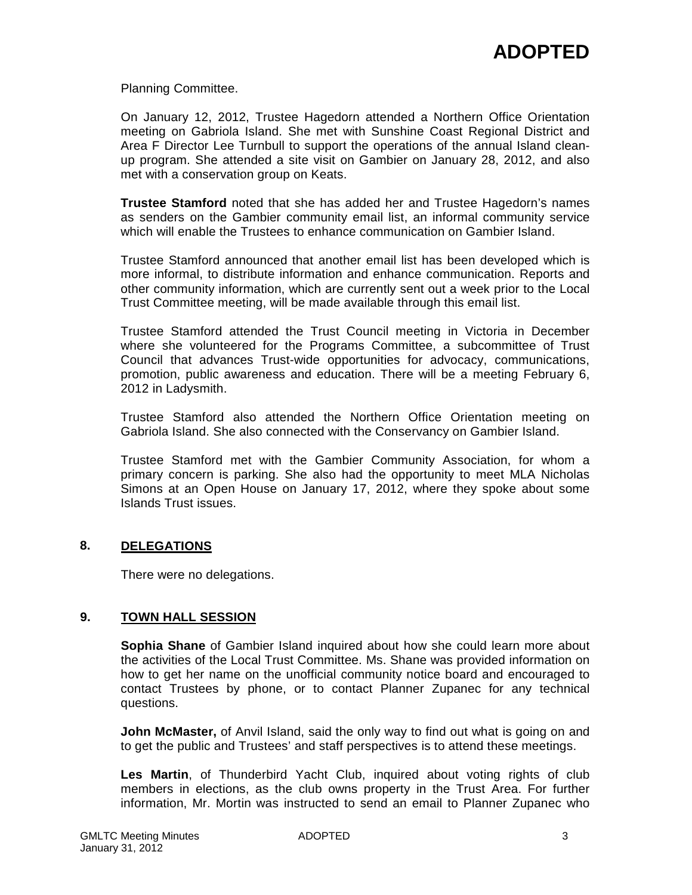Planning Committee.

On January 12, 2012, Trustee Hagedorn attended a Northern Office Orientation meeting on Gabriola Island. She met with Sunshine Coast Regional District and Area F Director Lee Turnbull to support the operations of the annual Island cleanup program. She attended a site visit on Gambier on January 28, 2012, and also met with a conservation group on Keats.

**Trustee Stamford** noted that she has added her and Trustee Hagedorn's names as senders on the Gambier community email list, an informal community service which will enable the Trustees to enhance communication on Gambier Island.

Trustee Stamford announced that another email list has been developed which is more informal, to distribute information and enhance communication. Reports and other community information, which are currently sent out a week prior to the Local Trust Committee meeting, will be made available through this email list.

Trustee Stamford attended the Trust Council meeting in Victoria in December where she volunteered for the Programs Committee, a subcommittee of Trust Council that advances Trust-wide opportunities for advocacy, communications, promotion, public awareness and education. There will be a meeting February 6, 2012 in Ladysmith.

Trustee Stamford also attended the Northern Office Orientation meeting on Gabriola Island. She also connected with the Conservancy on Gambier Island.

Trustee Stamford met with the Gambier Community Association, for whom a primary concern is parking. She also had the opportunity to meet MLA Nicholas Simons at an Open House on January 17, 2012, where they spoke about some Islands Trust issues.

## **8. DELEGATIONS**

There were no delegations.

## **9. TOWN HALL SESSION**

**Sophia Shane** of Gambier Island inquired about how she could learn more about the activities of the Local Trust Committee. Ms. Shane was provided information on how to get her name on the unofficial community notice board and encouraged to contact Trustees by phone, or to contact Planner Zupanec for any technical questions.

**John McMaster,** of Anvil Island, said the only way to find out what is going on and to get the public and Trustees' and staff perspectives is to attend these meetings.

**Les Martin**, of Thunderbird Yacht Club, inquired about voting rights of club members in elections, as the club owns property in the Trust Area. For further information, Mr. Mortin was instructed to send an email to Planner Zupanec who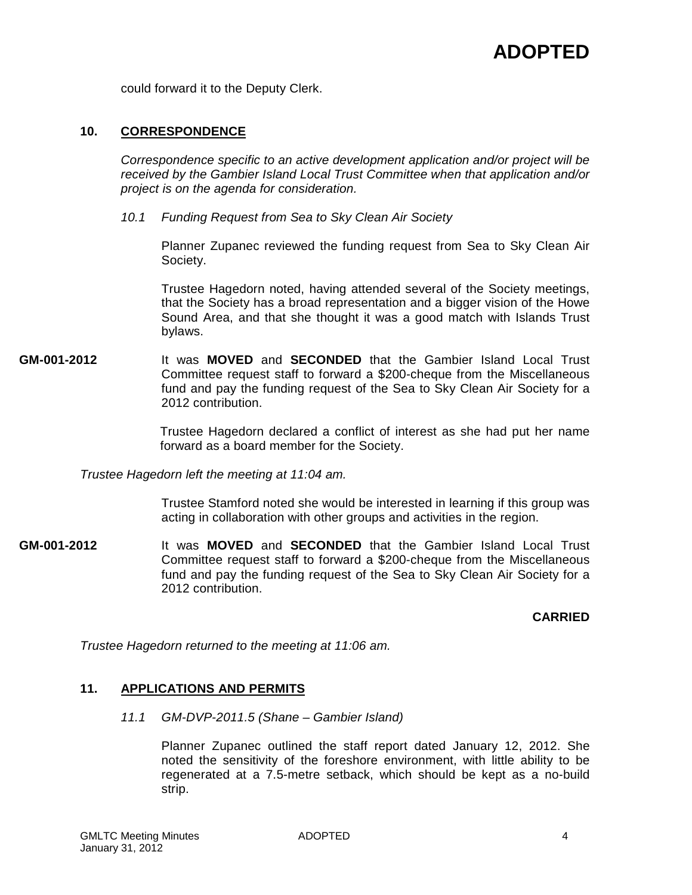could forward it to the Deputy Clerk.

### **10. CORRESPONDENCE**

*Correspondence specific to an active development application and/or project will be received by the Gambier Island Local Trust Committee when that application and/or project is on the agenda for consideration.*

*10.1 Funding Request from Sea to Sky Clean Air Society*

Planner Zupanec reviewed the funding request from Sea to Sky Clean Air Society.

Trustee Hagedorn noted, having attended several of the Society meetings, that the Society has a broad representation and a bigger vision of the Howe Sound Area, and that she thought it was a good match with Islands Trust bylaws.

**GM-001-2012** It was **MOVED** and **SECONDED** that the Gambier Island Local Trust Committee request staff to forward a \$200-cheque from the Miscellaneous fund and pay the funding request of the Sea to Sky Clean Air Society for a 2012 contribution.

> Trustee Hagedorn declared a conflict of interest as she had put her name forward as a board member for the Society.

*Trustee Hagedorn left the meeting at 11:04 am.*

Trustee Stamford noted she would be interested in learning if this group was acting in collaboration with other groups and activities in the region.

**GM-001-2012** It was **MOVED** and **SECONDED** that the Gambier Island Local Trust Committee request staff to forward a \$200-cheque from the Miscellaneous fund and pay the funding request of the Sea to Sky Clean Air Society for a 2012 contribution.

## **CARRIED**

*Trustee Hagedorn returned to the meeting at 11:06 am.*

## **11. APPLICATIONS AND PERMITS**

*11.1 GM-DVP-2011.5 (Shane – Gambier Island)*

Planner Zupanec outlined the staff report dated January 12, 2012. She noted the sensitivity of the foreshore environment, with little ability to be regenerated at a 7.5-metre setback, which should be kept as a no-build strip.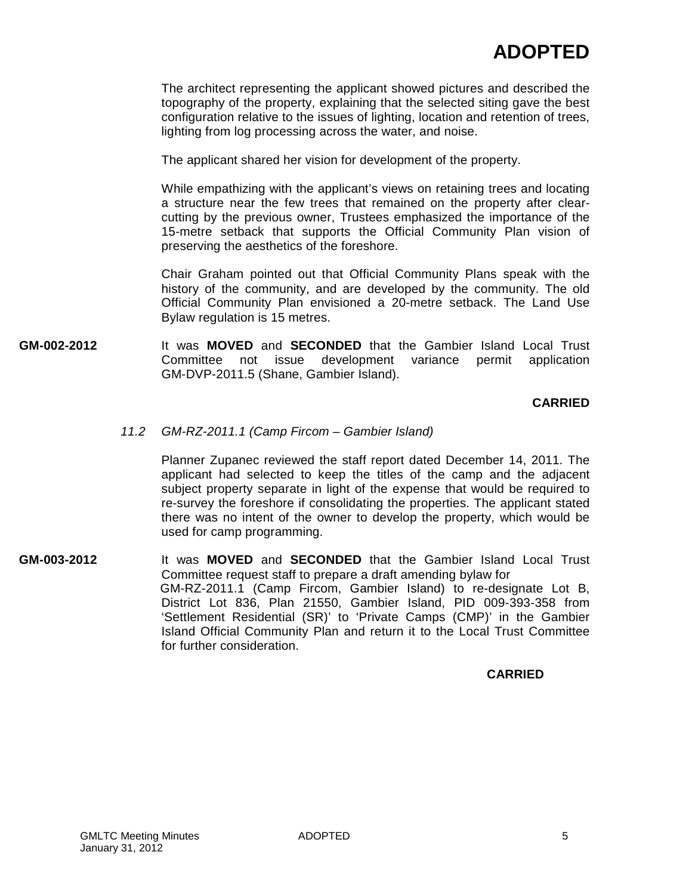The architect representing the applicant showed pictures and described the topography of the property, explaining that the selected siting gave the best configuration relative to the issues of lighting, location and retention of trees, lighting from log processing across the water, and noise.

The applicant shared her vision for development of the property.

While empathizing with the applicant's views on retaining trees and locating a structure near the few trees that remained on the property after clearcutting by the previous owner, Trustees emphasized the importance of the 15-metre setback that supports the Official Community Plan vision of preserving the aesthetics of the foreshore.

Chair Graham pointed out that Official Community Plans speak with the history of the community, and are developed by the community. The old Official Community Plan envisioned a 20-metre setback. The Land Use Bylaw regulation is 15 metres.

**GM-002-2012** It was **MOVED** and **SECONDED** that the Gambier Island Local Trust Committee not issue development variance permit application GM-DVP-2011.5 (Shane, Gambier Island).

## **CARRIED**

### *11.2 GM-RZ-2011.1 (Camp Fircom – Gambier Island)*

Planner Zupanec reviewed the staff report dated December 14, 2011. The applicant had selected to keep the titles of the camp and the adjacent subject property separate in light of the expense that would be required to re-survey the foreshore if consolidating the properties. The applicant stated there was no intent of the owner to develop the property, which would be used for camp programming.

**GM-003-2012** It was **MOVED** and **SECONDED** that the Gambier Island Local Trust Committee request staff to prepare a draft amending bylaw for GM-RZ-2011.1 (Camp Fircom, Gambier Island) to re-designate Lot B, District Lot 836, Plan 21550, Gambier Island, PID 009-393-358 from 'Settlement Residential (SR)' to 'Private Camps (CMP)' in the Gambier Island Official Community Plan and return it to the Local Trust Committee for further consideration.

## **CARRIED**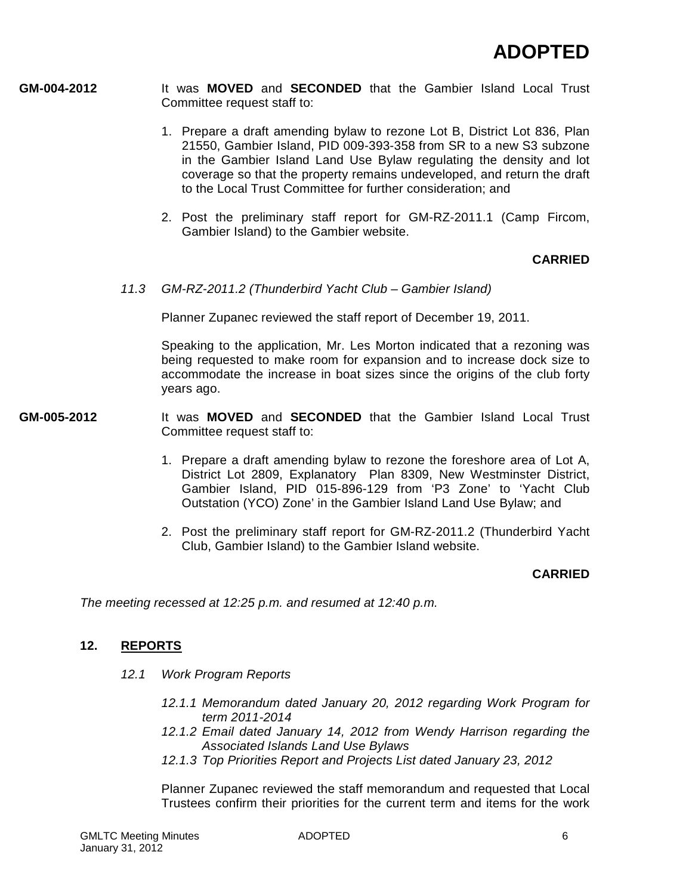- **GM-004-2012** It was **MOVED** and **SECONDED** that the Gambier Island Local Trust Committee request staff to:
	- 1. Prepare a draft amending bylaw to rezone Lot B, District Lot 836, Plan 21550, Gambier Island, PID 009-393-358 from SR to a new S3 subzone in the Gambier Island Land Use Bylaw regulating the density and lot coverage so that the property remains undeveloped, and return the draft to the Local Trust Committee for further consideration; and
	- 2. Post the preliminary staff report for GM-RZ-2011.1 (Camp Fircom, Gambier Island) to the Gambier website.

## **CARRIED**

*11.3 GM-RZ-2011.2 (Thunderbird Yacht Club – Gambier Island)*

Planner Zupanec reviewed the staff report of December 19, 2011.

Speaking to the application, Mr. Les Morton indicated that a rezoning was being requested to make room for expansion and to increase dock size to accommodate the increase in boat sizes since the origins of the club forty years ago.

- **GM-005-2012** It was **MOVED** and **SECONDED** that the Gambier Island Local Trust Committee request staff to:
	- 1. Prepare a draft amending bylaw to rezone the foreshore area of Lot A, District Lot 2809, Explanatory Plan 8309, New Westminster District, Gambier Island, PID 015-896-129 from 'P3 Zone' to 'Yacht Club Outstation (YCO) Zone' in the Gambier Island Land Use Bylaw; and
	- 2. Post the preliminary staff report for GM-RZ-2011.2 (Thunderbird Yacht Club, Gambier Island) to the Gambier Island website.

## **CARRIED**

*The meeting recessed at 12:25 p.m. and resumed at 12:40 p.m.*

## **12. REPORTS**

- *12.1 Work Program Reports*
	- *12.1.1 Memorandum dated January 20, 2012 regarding Work Program for term 2011-2014*
	- *12.1.2 Email dated January 14, 2012 from Wendy Harrison regarding the Associated Islands Land Use Bylaws*
	- *12.1.3 Top Priorities Report and Projects List dated January 23, 2012*

Planner Zupanec reviewed the staff memorandum and requested that Local Trustees confirm their priorities for the current term and items for the work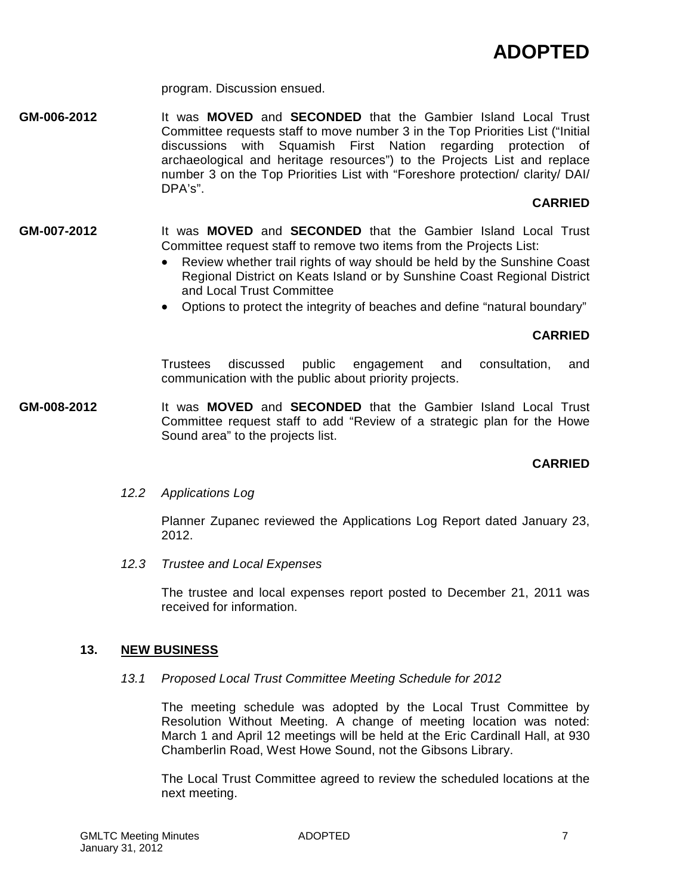program. Discussion ensued.

**GM-006-2012** It was **MOVED** and **SECONDED** that the Gambier Island Local Trust Committee requests staff to move number 3 in the Top Priorities List ("Initial discussions with Squamish First Nation regarding protection of archaeological and heritage resources") to the Projects List and replace number 3 on the Top Priorities List with "Foreshore protection/ clarity/ DAI/ DPA's".

## **CARRIED**

- **GM-007-2012** It was **MOVED** and **SECONDED** that the Gambier Island Local Trust Committee request staff to remove two items from the Projects List:
	- Review whether trail rights of way should be held by the Sunshine Coast Regional District on Keats Island or by Sunshine Coast Regional District and Local Trust Committee
	- Options to protect the integrity of beaches and define "natural boundary"

## **CARRIED**

Trustees discussed public engagement and consultation, and communication with the public about priority projects.

**GM-008-2012** It was **MOVED** and **SECONDED** that the Gambier Island Local Trust Committee request staff to add "Review of a strategic plan for the Howe Sound area" to the projects list.

## **CARRIED**

*12.2 Applications Log*

Planner Zupanec reviewed the Applications Log Report dated January 23, 2012.

*12.3 Trustee and Local Expenses*

The trustee and local expenses report posted to December 21, 2011 was received for information.

### **13. NEW BUSINESS**

### *13.1 Proposed Local Trust Committee Meeting Schedule for 2012*

The meeting schedule was adopted by the Local Trust Committee by Resolution Without Meeting. A change of meeting location was noted: March 1 and April 12 meetings will be held at the Eric Cardinall Hall, at 930 Chamberlin Road, West Howe Sound, not the Gibsons Library.

The Local Trust Committee agreed to review the scheduled locations at the next meeting.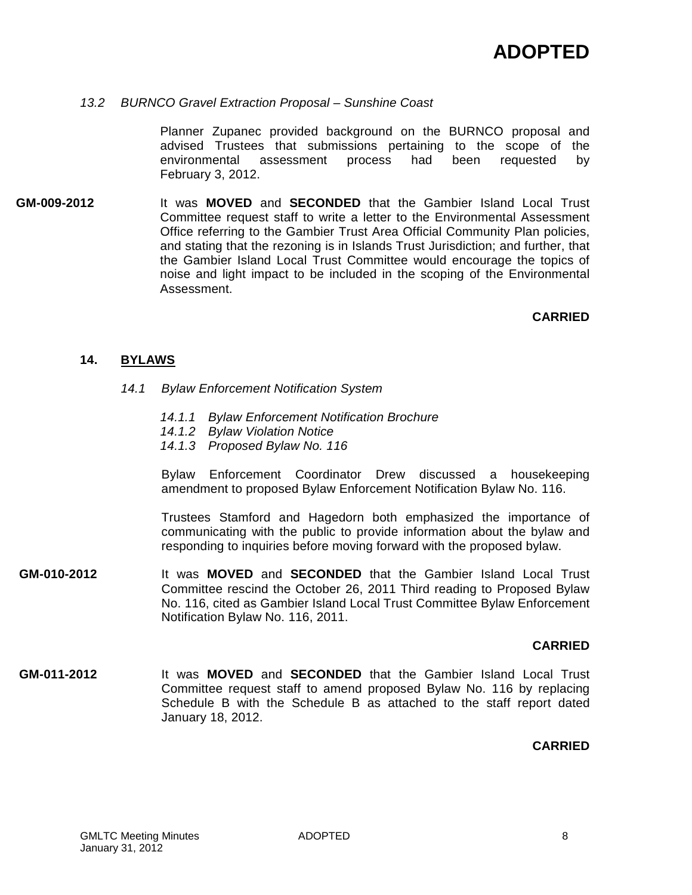### *13.2 BURNCO Gravel Extraction Proposal – Sunshine Coast*

Planner Zupanec provided background on the BURNCO proposal and advised Trustees that submissions pertaining to the scope of the environmental assessment process had been requested by February 3, 2012.

**GM-009-2012** It was **MOVED** and **SECONDED** that the Gambier Island Local Trust Committee request staff to write a letter to the Environmental Assessment Office referring to the Gambier Trust Area Official Community Plan policies, and stating that the rezoning is in Islands Trust Jurisdiction; and further, that the Gambier Island Local Trust Committee would encourage the topics of noise and light impact to be included in the scoping of the Environmental Assessment.

## **CARRIED**

## **14. BYLAWS**

- *14.1 Bylaw Enforcement Notification System*
	- *14.1.1 Bylaw Enforcement Notification Brochure*
	- *14.1.2 Bylaw Violation Notice*
	- *14.1.3 Proposed Bylaw No. 116*

Bylaw Enforcement Coordinator Drew discussed a housekeeping amendment to proposed Bylaw Enforcement Notification Bylaw No. 116.

Trustees Stamford and Hagedorn both emphasized the importance of communicating with the public to provide information about the bylaw and responding to inquiries before moving forward with the proposed bylaw.

**GM-010-2012** It was **MOVED** and **SECONDED** that the Gambier Island Local Trust Committee rescind the October 26, 2011 Third reading to Proposed Bylaw No. 116, cited as Gambier Island Local Trust Committee Bylaw Enforcement Notification Bylaw No. 116, 2011.

### **CARRIED**

**GM-011-2012** It was **MOVED** and **SECONDED** that the Gambier Island Local Trust Committee request staff to amend proposed Bylaw No. 116 by replacing Schedule B with the Schedule B as attached to the staff report dated January 18, 2012.

## **CARRIED**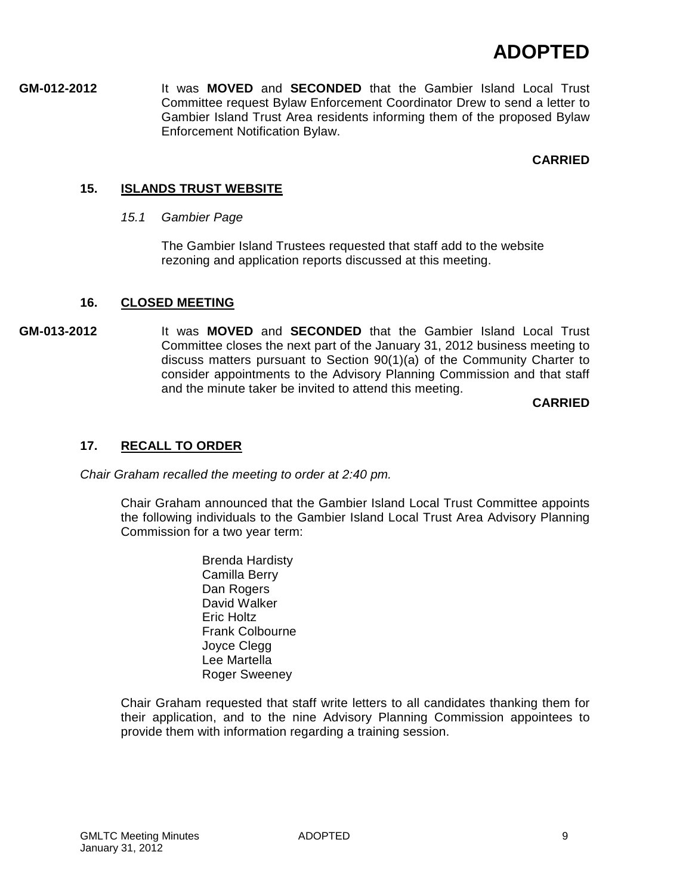**GM-012-2012** It was **MOVED** and **SECONDED** that the Gambier Island Local Trust Committee request Bylaw Enforcement Coordinator Drew to send a letter to Gambier Island Trust Area residents informing them of the proposed Bylaw Enforcement Notification Bylaw.

## **CARRIED**

## **15. ISLANDS TRUST WEBSITE**

*15.1 Gambier Page*

The Gambier Island Trustees requested that staff add to the website rezoning and application reports discussed at this meeting.

## **16. CLOSED MEETING**

**GM-013-2012** It was **MOVED** and **SECONDED** that the Gambier Island Local Trust Committee closes the next part of the January 31, 2012 business meeting to discuss matters pursuant to Section 90(1)(a) of the Community Charter to consider appointments to the Advisory Planning Commission and that staff and the minute taker be invited to attend this meeting.

**CARRIED**

## **17. RECALL TO ORDER**

*Chair Graham recalled the meeting to order at 2:40 pm.*

Chair Graham announced that the Gambier Island Local Trust Committee appoints the following individuals to the Gambier Island Local Trust Area Advisory Planning Commission for a two year term:

> Brenda Hardisty Camilla Berry Dan Rogers David Walker Eric Holtz Frank Colbourne Joyce Clegg Lee Martella Roger Sweeney

Chair Graham requested that staff write letters to all candidates thanking them for their application, and to the nine Advisory Planning Commission appointees to provide them with information regarding a training session.